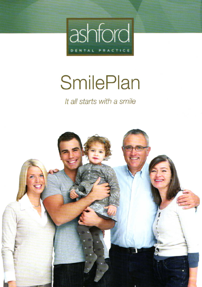

## **SmilePlan**

It all starts with a smile

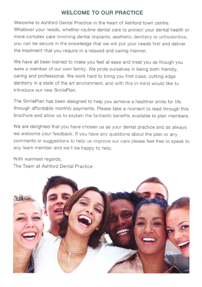## WELCOME TO OUR PRACTICE

Welcome to Ashford Dental Practice in the heart of Ashford town centre. Whatever your needs, whether routine dental care to protect your dental health or more complex care involving dental implants, aesthetic dentistry or orthodontics. you can be secure in the knowledge that we will put your needs first and deliver the treatment that you require in a relaxed and caring manner.

We have all been trained to make you feel at ease and treat you as though you were a member of our own family. We pride ourselves in being both friendly, caring and professional. We work hard to bring you first class, cutting edge dentistry in a state of the art environment, and with this in mind would like to introduce our new SmilePlan.

The SmilePlan has been designed to help you achieve a healthier smile for life through affordable monthly payments. Please take a moment to read through this brochure and allow us to explain the fantastic benefits available to plan members.

We are delighted that you have chosen us as your dental practice and as always we welcome your feedback. lf you have any questions about the plan or any comments or suggestions to help us improve our care please feel free to speak to any team member and we'll be happy to help.

With warmest regards, The Team at Ashford Dental Practice

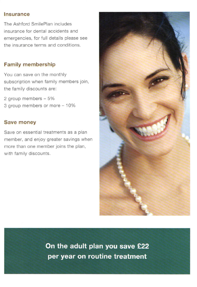#### lnsurance

The Ashford SmilePlan includes insurance for dental accidents and emergencies, for full details please see the insurance terrns and conditions.

## Family membership

You can save on the monthly subscription when family members join, the family discounts are:

2 group members  $-5\%$ 3 group members or more - 10%

#### Save money

Save on essential treatments as a plan member. and enjoy greater savings when more than one member joins the plan, with family discounts.



On the adult plan you save £22 per year on routine treatment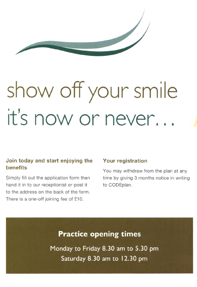

# show offyour smile it's now or never...

## Join today and start enjoying the benefits

Simply fill out the application form then hand it in to our receptionist or post it to the address on the back of the form. There is a one-off joining fee of £10.

## Your registration

You may withdraw from the plan at any time by giving 3 months notice in writing to CODEplan.

## **Practice opening times**

Monday to Friday 8.30 am to 5.30 pm Saturday 8.30 am to 12.30 pm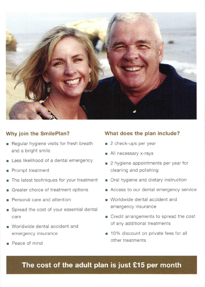

## Why join the SmilePlan?

- Regular hygiene visits for fresh breath and a bright smile
- **Exercise** Less likelihood of a dental emergency
- **Prompt treatment**
- The latest techniques for your treatment
- Greater choice of treatment options
- **Personal care and attention**
- **Spread the cost of your essential dental** care
- **Worldwide dental accident and** emergency insurance
- . Peace of mind

## What does the plan include?

- 2 check-ups per year
- **All necessary x-rays**
- $\Box$  2 hygiene appointments per year for cleaning and polishing
- **n** Oral hygiene and dietary instruction
- Recess to our dental emergency service
- **R** Worldwide dental accident and emergency insurance
- **r** Credit arrangements to spread the cost of any additionai treatments
- **10%** discount on private fees for all other treatments

The cost of the adult plan is just £15 per month